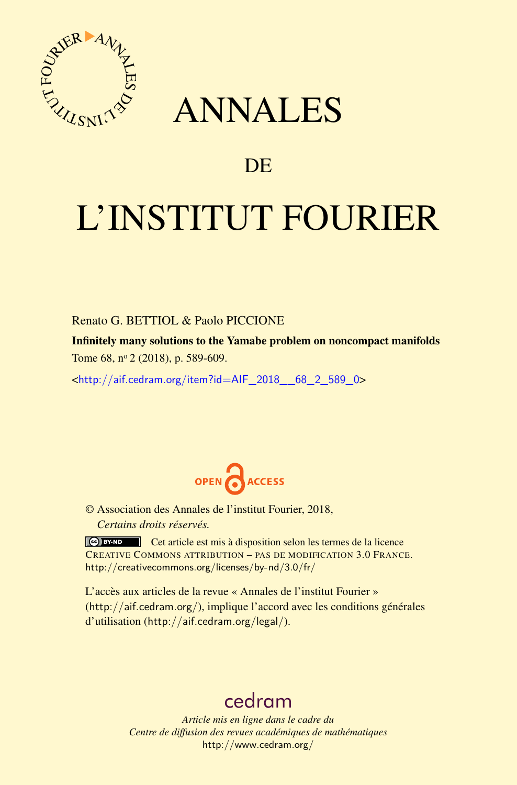

# ANNALES

## **DE**

# L'INSTITUT FOURIER

### Renato G. BETTIOL & Paolo PICCIONE

Infinitely many solutions to the Yamabe problem on noncompact manifolds Tome 68, n<sup>o</sup> 2 (2018), p. 589-609.

<[http://aif.cedram.org/item?id=AIF\\_2018\\_\\_68\\_2\\_589\\_0](http://aif.cedram.org/item?id=AIF_2018__68_2_589_0)>



© Association des Annales de l'institut Fourier, 2018, *Certains droits réservés.*

Cet article est mis à disposition selon les termes de la licence CREATIVE COMMONS ATTRIBUTION – PAS DE MODIFICATION 3.0 FRANCE. <http://creativecommons.org/licenses/by-nd/3.0/fr/>

L'accès aux articles de la revue « Annales de l'institut Fourier » (<http://aif.cedram.org/>), implique l'accord avec les conditions générales d'utilisation (<http://aif.cedram.org/legal/>).

## [cedram](http://www.cedram.org/)

*Article mis en ligne dans le cadre du Centre de diffusion des revues académiques de mathématiques* <http://www.cedram.org/>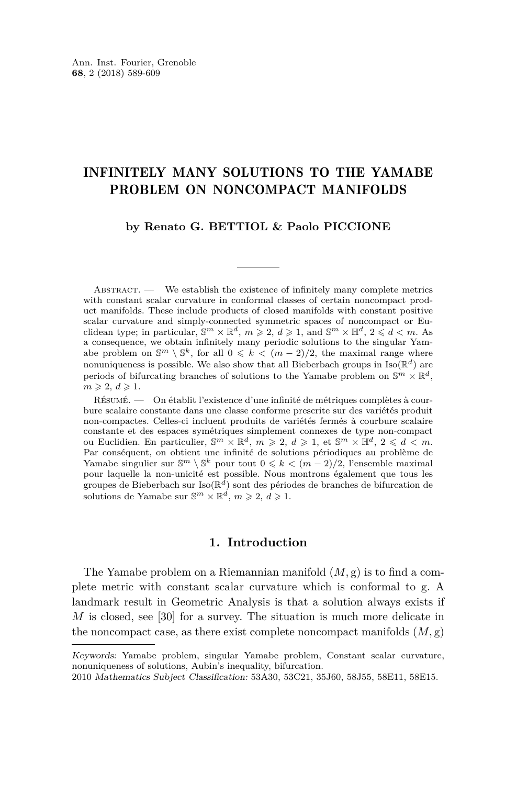### INFINITELY MANY SOLUTIONS TO THE YAMABE PROBLEM ON NONCOMPACT MANIFOLDS

#### **by Renato G. BETTIOL & Paolo PICCIONE**

ABSTRACT. — We establish the existence of infinitely many complete metrics with constant scalar curvature in conformal classes of certain noncompact product manifolds. These include products of closed manifolds with constant positive scalar curvature and simply-connected symmetric spaces of noncompact or Euclidean type; in particular,  $\mathbb{S}^m \times \mathbb{R}^d$ ,  $m \geqslant 2$ ,  $d \geqslant 1$ , and  $\mathbb{S}^m \times \mathbb{H}^d$ ,  $2 \leqslant d \leqslant m$ . As a consequence, we obtain infinitely many periodic solutions to the singular Yamabe problem on  $\mathbb{S}^m \setminus \mathbb{S}^k$ , for all  $0 \leq k \leq (m-2)/2$ , the maximal range where nonuniqueness is possible. We also show that all Bieberbach groups in  $\text{Iso}(\mathbb{R}^d)$  are periods of bifurcating branches of solutions to the Yamabe problem on  $\mathbb{S}^m \times \mathbb{R}^d$ ,  $m \geqslant 2, d \geqslant 1.$ 

Résumé. — On établit l'existence d'une infinité de métriques complètes à courbure scalaire constante dans une classe conforme prescrite sur des variétés produit non-compactes. Celles-ci incluent produits de variétés fermés à courbure scalaire constante et des espaces symétriques simplement connexes de type non-compact ou Euclidien. En particulier,  $\mathbb{S}^m \times \mathbb{R}^d$ ,  $m \geq 2$ ,  $d \geq 1$ , et  $\mathbb{S}^m \times \mathbb{H}^d$ ,  $2 \leq d \leq m$ . Par conséquent, on obtient une infinité de solutions périodiques au problème de Yamabe singulier sur  $\mathbb{S}^m \setminus \mathbb{S}^k$  pour tout  $0 \leq k \leq (m-2)/2$ , l'ensemble maximal pour laquelle la non-unicité est possible. Nous montrons également que tous les groupes de Bieberbach sur Iso(R*d*) sont des périodes de branches de bifurcation de solutions de Yamabe sur  $\mathbb{S}^m \times \mathbb{R}^d$ ,  $m \geqslant 2$ ,  $d \geqslant 1$ .

#### **1. Introduction**

The Yamabe problem on a Riemannian manifold (*M,* g) is to find a complete metric with constant scalar curvature which is conformal to g. A landmark result in Geometric Analysis is that a solution always exists if *M* is closed, see [\[30\]](#page-20-0) for a survey. The situation is much more delicate in the noncompact case, as there exist complete noncompact manifolds  $(M, g)$ 

Keywords: Yamabe problem, singular Yamabe problem, Constant scalar curvature, nonuniqueness of solutions, Aubin's inequality, bifurcation.

<sup>2010</sup> Mathematics Subject Classification: 53A30, 53C21, 35J60, 58J55, 58E11, 58E15.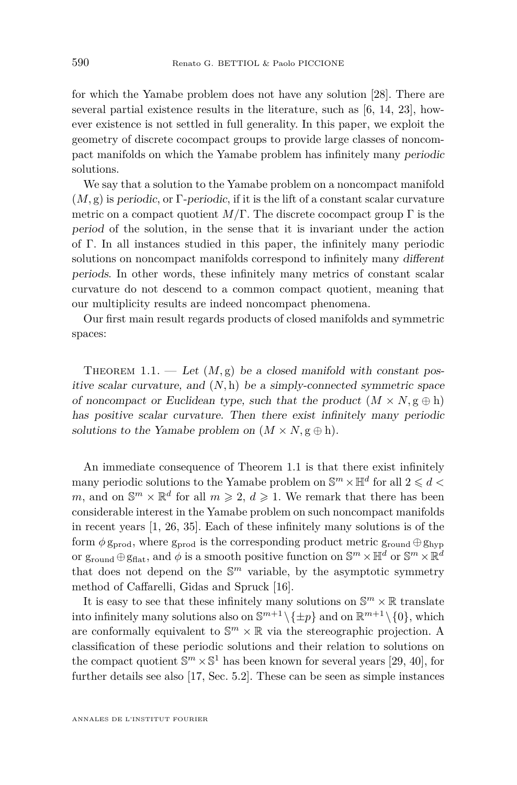for which the Yamabe problem does not have any solution [\[28\]](#page-20-1). There are several partial existence results in the literature, such as [\[6,](#page-19-0) [14,](#page-20-2) [23\]](#page-20-3), however existence is not settled in full generality. In this paper, we exploit the geometry of discrete cocompact groups to provide large classes of noncompact manifolds on which the Yamabe problem has infinitely many periodic solutions.

We say that a solution to the Yamabe problem on a noncompact manifold  $(M, g)$  is periodic, or  $\Gamma$ -periodic, if it is the lift of a constant scalar curvature metric on a compact quotient  $M/\Gamma$ . The discrete cocompact group  $\Gamma$  is the period of the solution, in the sense that it is invariant under the action of Γ. In all instances studied in this paper, the infinitely many periodic solutions on noncompact manifolds correspond to infinitely many different periods. In other words, these infinitely many metrics of constant scalar curvature do not descend to a common compact quotient, meaning that our multiplicity results are indeed noncompact phenomena.

Our first main result regards products of closed manifolds and symmetric spaces:

<span id="page-2-0"></span>THEOREM 1.1. — Let  $(M, g)$  be a closed manifold with constant positive scalar curvature, and  $(N, h)$  be a simply-connected symmetric space of noncompact or Euclidean type, such that the product  $(M \times N, g \oplus h)$ has positive scalar curvature. Then there exist infinitely many periodic solutions to the Yamabe problem on  $(M \times N, \mathbf{g} \oplus \mathbf{h})$ .

An immediate consequence of Theorem [1.1](#page-2-0) is that there exist infinitely many periodic solutions to the Yamabe problem on  $\mathbb{S}^m \times \mathbb{H}^d$  for all  $2 \leqslant d <$ *m*, and on  $\mathbb{S}^m \times \mathbb{R}^d$  for all  $m \geqslant 2$ ,  $d \geqslant 1$ . We remark that there has been considerable interest in the Yamabe problem on such noncompact manifolds in recent years [\[1,](#page-19-1) [26,](#page-20-4) [35\]](#page-20-5). Each of these infinitely many solutions is of the form  $\phi$  g<sub>prod</sub>, where g<sub>prod</sub> is the corresponding product metric g<sub>round</sub> ⊕g<sub>hyp</sub> or  $g_{\text{round}} \oplus g_{\text{flat}}$ , and  $\phi$  is a smooth positive function on  $\mathbb{S}^m \times \mathbb{H}^d$  or  $\mathbb{S}^m \times \mathbb{R}^d$ that does not depend on the  $\mathbb{S}^m$  variable, by the asymptotic symmetry method of Caffarelli, Gidas and Spruck [\[16\]](#page-20-6).

It is easy to see that these infinitely many solutions on  $\mathbb{S}^m \times \mathbb{R}$  translate into infinitely many solutions also on  $\mathbb{S}^{m+1} \setminus {\pm p}$  and on  $\mathbb{R}^{m+1} \setminus \{0\}$ , which are conformally equivalent to  $\mathbb{S}^m \times \mathbb{R}$  via the stereographic projection. A classification of these periodic solutions and their relation to solutions on the compact quotient  $\mathbb{S}^m \times \mathbb{S}^1$  has been known for several years [\[29,](#page-20-7) [40\]](#page-21-0), for further details see also [\[17,](#page-20-8) Sec. 5.2]. These can be seen as simple instances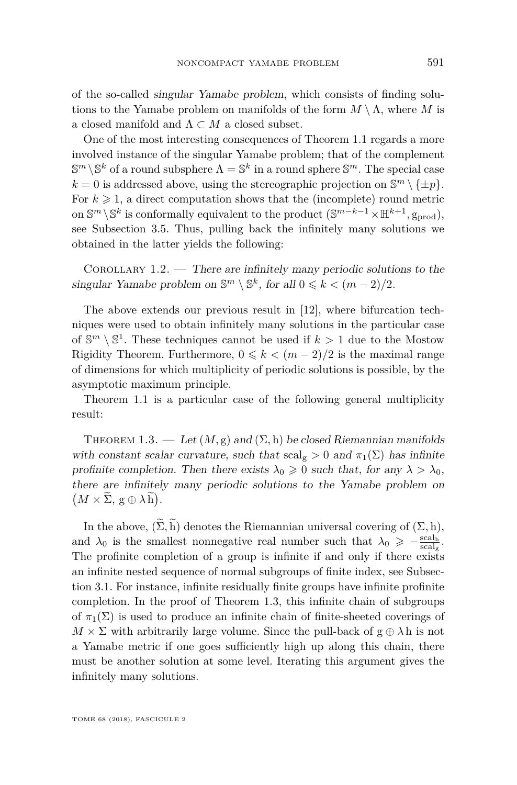of the so-called singular Yamabe problem, which consists of finding solutions to the Yamabe problem on manifolds of the form  $M \setminus \Lambda$ , where M is a closed manifold and  $\Lambda \subset M$  a closed subset.

One of the most interesting consequences of Theorem [1.1](#page-2-0) regards a more involved instance of the singular Yamabe problem; that of the complement  $\mathbb{S}^m \setminus \mathbb{S}^k$  of a round subsphere  $\Lambda = \mathbb{S}^k$  in a round sphere  $\mathbb{S}^m$ . The special case  $k = 0$  is addressed above, using the stereographic projection on  $\mathbb{S}^m \setminus \{\pm p\}.$ For  $k \geq 1$ , a direct computation shows that the (incomplete) round metric on  $\mathbb{S}^m \setminus \mathbb{S}^k$  is conformally equivalent to the product  $(\mathbb{S}^{m-k-1} \times \mathbb{H}^{k+1}, g_{\text{prod}})$ , see Subsection [3.5.](#page-12-0) Thus, pulling back the infinitely many solutions we obtained in the latter yields the following:

<span id="page-3-1"></span>COROLLARY  $1.2.$  — There are infinitely many periodic solutions to the singular Yamabe problem on  $\mathbb{S}^m \setminus \mathbb{S}^k$ , for all  $0 \leq k < (m-2)/2$ .

The above extends our previous result in [\[12\]](#page-19-2), where bifurcation techniques were used to obtain infinitely many solutions in the particular case of  $\mathbb{S}^m \setminus \mathbb{S}^1$ . These techniques cannot be used if  $k > 1$  due to the Mostow Rigidity Theorem. Furthermore,  $0 \le k \le (m-2)/2$  is the maximal range of dimensions for which multiplicity of periodic solutions is possible, by the asymptotic maximum principle.

Theorem [1.1](#page-2-0) is a particular case of the following general multiplicity result:

<span id="page-3-0"></span>THEOREM 1.3. — Let  $(M, g)$  and  $(\Sigma, h)$  be closed Riemannian manifolds with constant scalar curvature, such that  $\text{scal}_{g} > 0$  and  $\pi_1(\Sigma)$  has infinite profinite completion. Then there exists  $\lambda_0 \geq 0$  such that, for any  $\lambda > \lambda_0$ , there are infinitely many periodic solutions to the Yamabe problem on  $(M \times \Sigma, g \oplus \lambda h).$ 

In the above,  $(\tilde{\Sigma}, \tilde{h})$  denotes the Riemannian universal covering of  $(\Sigma, h)$ , and  $\lambda_0$  is the smallest nonnegative real number such that  $\lambda_0 \geq -\frac{\text{scal}_h}{\text{scal}_g}$ . The profinite completion of a group is infinite if and only if there exists an infinite nested sequence of normal subgroups of finite index, see Subsection [3.1.](#page-7-0) For instance, infinite residually finite groups have infinite profinite completion. In the proof of Theorem [1.3,](#page-3-0) this infinite chain of subgroups of  $\pi_1(\Sigma)$  is used to produce an infinite chain of finite-sheeted coverings of  $M \times \Sigma$  with arbitrarily large volume. Since the pull-back of  $g \oplus \lambda h$  is not a Yamabe metric if one goes sufficiently high up along this chain, there must be another solution at some level. Iterating this argument gives the infinitely many solutions.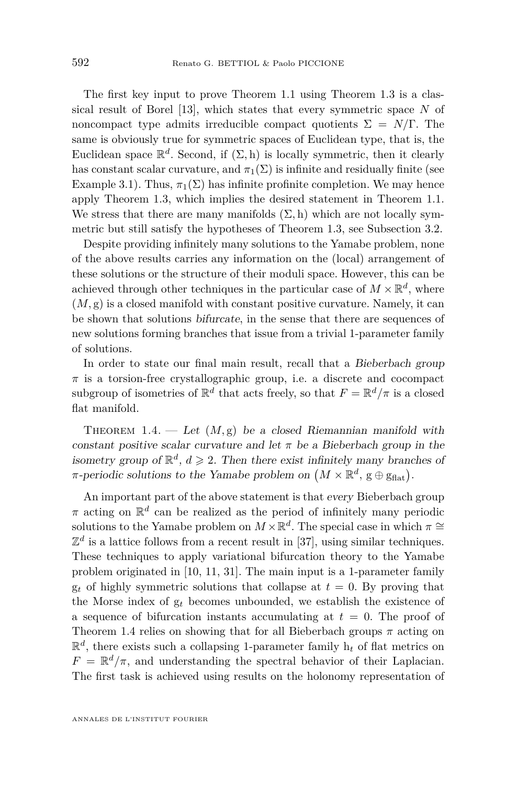The first key input to prove Theorem [1.1](#page-2-0) using Theorem [1.3](#page-3-0) is a classical result of Borel [\[13\]](#page-19-3), which states that every symmetric space *N* of noncompact type admits irreducible compact quotients  $\Sigma = N/\Gamma$ . The same is obviously true for symmetric spaces of Euclidean type, that is, the Euclidean space  $\mathbb{R}^d$ . Second, if  $(\Sigma, h)$  is locally symmetric, then it clearly has constant scalar curvature, and  $\pi_1(\Sigma)$  is infinite and residually finite (see Example [3.1\)](#page-8-0). Thus,  $\pi_1(\Sigma)$  has infinite profinite completion. We may hence apply Theorem [1.3,](#page-3-0) which implies the desired statement in Theorem [1.1.](#page-2-0) We stress that there are many manifolds  $(\Sigma, h)$  which are not locally symmetric but still satisfy the hypotheses of Theorem [1.3,](#page-3-0) see Subsection [3.2.](#page-8-1)

Despite providing infinitely many solutions to the Yamabe problem, none of the above results carries any information on the (local) arrangement of these solutions or the structure of their moduli space. However, this can be achieved through other techniques in the particular case of  $M \times \mathbb{R}^d$ , where  $(M, g)$  is a closed manifold with constant positive curvature. Namely, it can be shown that solutions bifurcate, in the sense that there are sequences of new solutions forming branches that issue from a trivial 1-parameter family of solutions.

In order to state our final main result, recall that a Bieberbach group  $\pi$  is a torsion-free crystallographic group, i.e. a discrete and cocompact subgroup of isometries of  $\mathbb{R}^d$  that acts freely, so that  $F = \mathbb{R}^d / \pi$  is a closed flat manifold.

<span id="page-4-0"></span>THEOREM 1.4.  $\qquad$  Let  $(M, g)$  be a closed Riemannian manifold with constant positive scalar curvature and let  $\pi$  be a Bieberbach group in the isometry group of  $\mathbb{R}^d$ ,  $d \geqslant 2$ . Then there exist infinitely many branches of *π*-periodic solutions to the Yamabe problem on  $(M \times \mathbb{R}^d, g \oplus g_{\text{flat}})$ .

An important part of the above statement is that every Bieberbach group *π* acting on R<sup>*d*</sup> can be realized as the period of infinitely many periodic solutions to the Yamabe problem on  $M \times \mathbb{R}^d$ . The special case in which  $\pi \cong$  $\mathbb{Z}^d$  is a lattice follows from a recent result in [\[37\]](#page-21-1), using similar techniques. These techniques to apply variational bifurcation theory to the Yamabe problem originated in [\[10,](#page-19-4) [11,](#page-19-5) [31\]](#page-20-9). The main input is a 1-parameter family  $g_t$  of highly symmetric solutions that collapse at  $t = 0$ . By proving that the Morse index of g*<sup>t</sup>* becomes unbounded, we establish the existence of a sequence of bifurcation instants accumulating at  $t = 0$ . The proof of Theorem [1.4](#page-4-0) relies on showing that for all Bieberbach groups  $\pi$  acting on  $\mathbb{R}^d$ , there exists such a collapsing 1-parameter family  $h_t$  of flat metrics on  $F = \mathbb{R}^d/\pi$ , and understanding the spectral behavior of their Laplacian. The first task is achieved using results on the holonomy representation of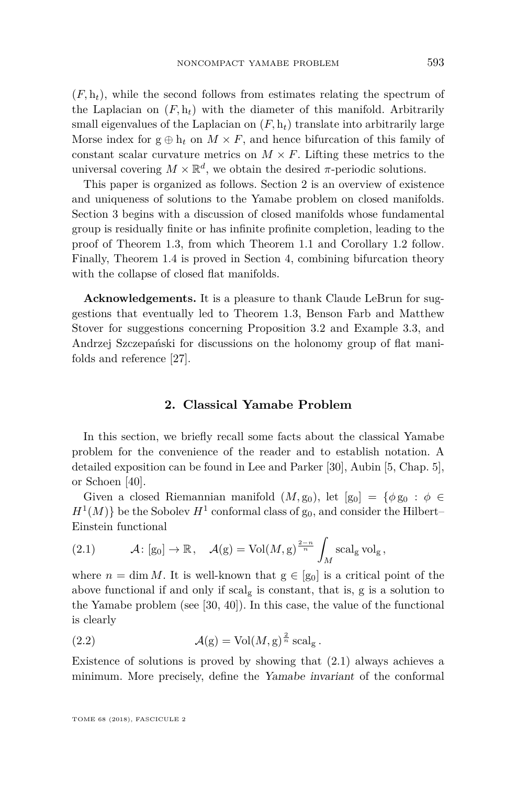$(F, h_t)$ , while the second follows from estimates relating the spectrum of the Laplacian on  $(F, h_t)$  with the diameter of this manifold. Arbitrarily small eigenvalues of the Laplacian on  $(F, h_t)$  translate into arbitrarily large Morse index for  $g \oplus h_t$  on  $M \times F$ , and hence bifurcation of this family of constant scalar curvature metrics on  $M \times F$ . Lifting these metrics to the universal covering  $M \times \mathbb{R}^d$ , we obtain the desired  $\pi$ -periodic solutions.

This paper is organized as follows. Section [2](#page-5-0) is an overview of existence and uniqueness of solutions to the Yamabe problem on closed manifolds. Section [3](#page-7-1) begins with a discussion of closed manifolds whose fundamental group is residually finite or has infinite profinite completion, leading to the proof of Theorem [1.3,](#page-3-0) from which Theorem [1.1](#page-2-0) and Corollary [1.2](#page-3-1) follow. Finally, Theorem [1.4](#page-4-0) is proved in Section [4,](#page-13-0) combining bifurcation theory with the collapse of closed flat manifolds.

**Acknowledgements.** It is a pleasure to thank Claude LeBrun for suggestions that eventually led to Theorem [1.3,](#page-3-0) Benson Farb and Matthew Stover for suggestions concerning Proposition [3.2](#page-9-0) and Example [3.3,](#page-9-1) and Andrzej Szczepański for discussions on the holonomy group of flat manifolds and reference [\[27\]](#page-20-10).

#### **2. Classical Yamabe Problem**

<span id="page-5-0"></span>In this section, we briefly recall some facts about the classical Yamabe problem for the convenience of the reader and to establish notation. A detailed exposition can be found in Lee and Parker [\[30\]](#page-20-0), Aubin [\[5,](#page-19-6) Chap. 5], or Schoen [\[40\]](#page-21-0).

Given a closed Riemannian manifold  $(M, g_0)$ , let  $[g_0] = {\phi g_0 : \phi \in$  $H^1(M)$ } be the Sobolev  $H^1$  conformal class of  $g_0$ , and consider the Hilbert– Einstein functional

<span id="page-5-1"></span>(2.1) 
$$
\mathcal{A} \colon [g_0] \to \mathbb{R}, \quad \mathcal{A}(g) = Vol(M, g)^{\frac{2-n}{n}} \int_M \mathrm{scal}_g \mathrm{vol}_g,
$$

where  $n = \dim M$ . It is well-known that  $g \in [g_0]$  is a critical point of the above functional if and only if  $\text{scal}_g$  is constant, that is, g is a solution to the Yamabe problem (see [\[30,](#page-20-0) [40\]](#page-21-0)). In this case, the value of the functional is clearly

(2.2) 
$$
\mathcal{A}(g) = Vol(M, g)^{\frac{2}{n}} scal_g.
$$

Existence of solutions is proved by showing that [\(2.1\)](#page-5-1) always achieves a minimum. More precisely, define the Yamabe invariant of the conformal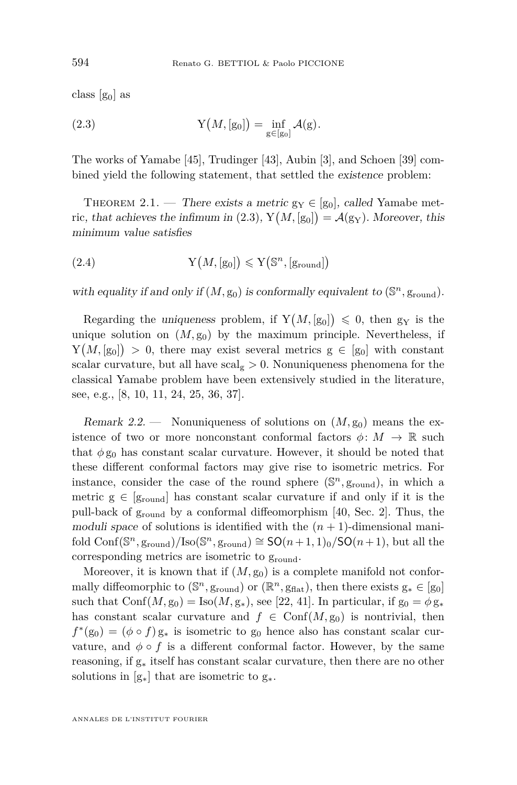class  $[g_0]$  as

<span id="page-6-0"></span>(2.3) 
$$
Y(M,[g_0]) = \inf_{g \in [g_0]} \mathcal{A}(g).
$$

The works of Yamabe [\[45\]](#page-21-2), Trudinger [\[43\]](#page-21-3), Aubin [\[3\]](#page-19-7), and Schoen [\[39\]](#page-21-4) combined yield the following statement, that settled the existence problem:

<span id="page-6-1"></span>THEOREM 2.1. — There exists a metric  $g_Y \in [g_0]$ , called Yamabe met-ric, that achieves the infimum in [\(2.3\)](#page-6-0),  $Y(M, [g_0]) = \mathcal{A}(g_Y)$ . Moreover, this minimum value satisfies

(2.4) 
$$
Y(M,[g_0]) \leq Y(\mathbb{S}^n,[g_{\text{round}}])
$$

with equality if and only if  $(M, g_0)$  is conformally equivalent to  $(\mathbb{S}^n, g_{\text{round}})$ .

Regarding the uniqueness problem, if  $Y(M,[g_0]) \leq 0$ , then  $g_Y$  is the unique solution on  $(M, g_0)$  by the maximum principle. Nevertheless, if  $Y(M,[g_0]) > 0$ , there may exist several metrics  $g \in [g_0]$  with constant scalar curvature, but all have  $\text{scal}_g > 0$ . Nonuniqueness phenomena for the classical Yamabe problem have been extensively studied in the literature, see, e.g., [\[8,](#page-19-8) [10,](#page-19-4) [11,](#page-19-5) [24,](#page-20-11) [25,](#page-20-12) [36,](#page-21-5) [37\]](#page-21-1).

<span id="page-6-2"></span>Remark 2.2. — Nonuniqueness of solutions on  $(M, g_0)$  means the existence of two or more nonconstant conformal factors  $\phi \colon M \to \mathbb{R}$  such that  $\phi$  g<sub>0</sub> has constant scalar curvature. However, it should be noted that these different conformal factors may give rise to isometric metrics. For instance, consider the case of the round sphere  $(\mathbb{S}^n, g_{\text{round}})$ , in which a metric  $g \in [g_{round}]$  has constant scalar curvature if and only if it is the pull-back of ground by a conformal diffeomorphism [\[40,](#page-21-0) Sec. 2]. Thus, the moduli space of solutions is identified with the  $(n + 1)$ -dimensional manifold  $\text{Conf}(\mathbb{S}^n, g_{\text{round}})/\text{Iso}(\mathbb{S}^n, g_{\text{round}}) \cong SO(n+1, 1)_0/SO(n+1)$ , but all the corresponding metrics are isometric to ground.

Moreover, it is known that if  $(M, g_0)$  is a complete manifold not conformally diffeomorphic to  $(\mathbb{S}^n, g_{\text{round}})$  or  $(\mathbb{R}^n, g_{\text{flat}})$ , then there exists  $g_* \in [g_0]$ such that  $Conf(M, g_0) = Iso(M, g_*)$ , see [\[22,](#page-20-13) [41\]](#page-21-6). In particular, if  $g_0 = \phi g_*$ has constant scalar curvature and  $f \in \text{Conf}(M, g_0)$  is nontrivial, then  $f^*(g_0) = (\phi \circ f) g_*$  is isometric to  $g_0$  hence also has constant scalar curvature, and  $\phi \circ f$  is a different conformal factor. However, by the same reasoning, if g<sup>∗</sup> itself has constant scalar curvature, then there are no other solutions in  $[g_*]$  that are isometric to  $g_*$ .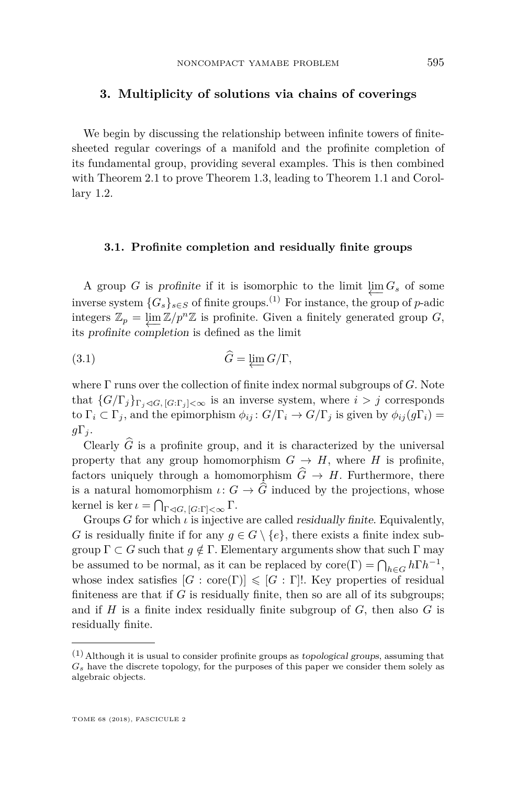#### <span id="page-7-1"></span>**3. Multiplicity of solutions via chains of coverings**

We begin by discussing the relationship between infinite towers of finitesheeted regular coverings of a manifold and the profinite completion of its fundamental group, providing several examples. This is then combined with Theorem [2.1](#page-6-1) to prove Theorem [1.3,](#page-3-0) leading to Theorem [1.1](#page-2-0) and Corollary [1.2.](#page-3-1)

#### <span id="page-7-0"></span>**3.1. Profinite completion and residually finite groups**

A group *G* is profinite if it is isomorphic to the limit  $\varprojlim G_s$  of some inverse system  ${G_s}_{s \in S}$  of finite groups.<sup>(1)</sup> For instance, the group of *p*-adic integers  $\mathbb{Z}_p = \underleftarrow{\lim} \mathbb{Z}/p^n \mathbb{Z}$  is profinite. Given a finitely generated group *G*, its profinite completion is defined as the limit

$$
\widehat{G} = \varprojlim G/\Gamma,
$$

where Γ runs over the collection of finite index normal subgroups of *G*. Note that  $\{G/\Gamma_j\}_{\Gamma_j\triangleleft G,\;[G:\Gamma_j]\triangleleft\infty}$  is an inverse system, where  $i > j$  corresponds to  $\Gamma_i \subset \Gamma_j$ , and the epimorphism  $\phi_{ij} : G/\Gamma_i \to G/\Gamma_j$  is given by  $\phi_{ij}(g\Gamma_i) =$  $g\Gamma_i$ .

Clearly  $\widehat{G}$  is a profinite group, and it is characterized by the universal property that any group homomorphism  $G \to H$ , where *H* is profinite, factors uniquely through a homomorphism  $\widehat{G} \to H$ . Furthermore, there is a natural homomorphism  $\iota: G \to \widehat{G}$  induced by the projections, whose  $\ker$ *l* is  $\ker$ *l* =  $\bigcap_{\Gamma\triangleleft G, [G:\Gamma]<\infty}$   $\Gamma$ .

Groups  $G$  for which  $\iota$  is injective are called *residually finite*. Equivalently, *G* is residually finite if for any  $g \in G \setminus \{e\}$ , there exists a finite index subgroup  $\Gamma \subset G$  such that  $g \notin \Gamma$ . Elementary arguments show that such  $\Gamma$  may be assumed to be normal, as it can be replaced by  $\text{core}(\Gamma) = \bigcap_{h \in G} h \Gamma h^{-1}$ , whose index satisfies  $[G : core(\Gamma)] \leq G : \Gamma$ . Key properties of residual finiteness are that if  $G$  is residually finite, then so are all of its subgroups; and if *H* is a finite index residually finite subgroup of *G*, then also *G* is residually finite.

 $(1)$  Although it is usual to consider profinite groups as topological groups, assuming that *Gs* have the discrete topology, for the purposes of this paper we consider them solely as algebraic objects.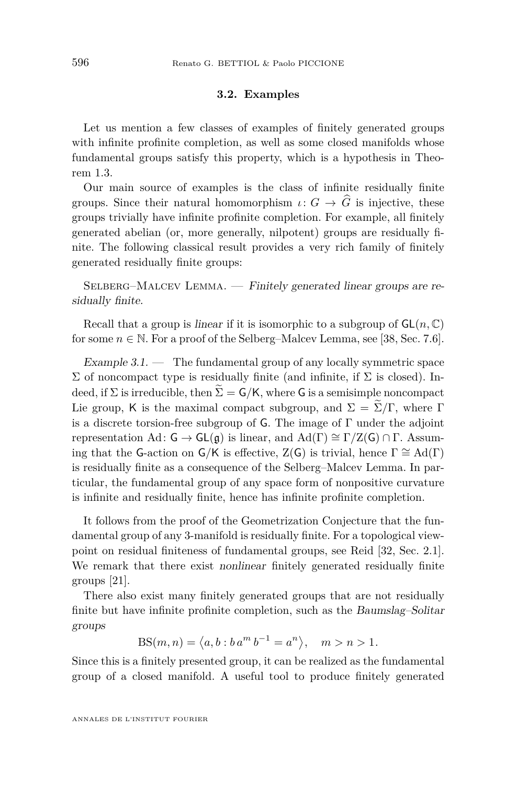#### **3.2. Examples**

<span id="page-8-1"></span>Let us mention a few classes of examples of finitely generated groups with infinite profinite completion, as well as some closed manifolds whose fundamental groups satisfy this property, which is a hypothesis in Theorem [1.3.](#page-3-0)

Our main source of examples is the class of infinite residually finite groups. Since their natural homomorphism  $\iota: G \to \widehat{G}$  is injective, these groups trivially have infinite profinite completion. For example, all finitely generated abelian (or, more generally, nilpotent) groups are residually finite. The following classical result provides a very rich family of finitely generated residually finite groups:

Selberg–Malcev Lemma. — Finitely generated linear groups are residually finite.

Recall that a group is *linear* if it is isomorphic to a subgroup of  $GL(n, \mathbb{C})$ for some  $n \in \mathbb{N}$ . For a proof of the Selberg–Malcev Lemma, see [\[38,](#page-21-7) Sec. 7.6].

<span id="page-8-0"></span>Example  $3.1.$  — The fundamental group of any locally symmetric space  $\Sigma$  of noncompact type is residually finite (and infinite, if  $\Sigma$  is closed). Indeed, if  $\Sigma$  is irreducible, then  $\widetilde{\Sigma} = \mathsf{G}/\mathsf{K}$ , where G is a semisimple noncompact Lie group, K is the maximal compact subgroup, and  $\Sigma = \tilde{\Sigma}/\Gamma$ , where  $\Gamma$ is a discrete torsion-free subgroup of G. The image of  $\Gamma$  under the adjoint representation Ad:  $G \to GL(\mathfrak{g})$  is linear, and Ad( $\Gamma$ ) ≅  $\Gamma/Z(G) \cap \Gamma$ . Assuming that the G-action on  $G/K$  is effective,  $Z(G)$  is trivial, hence  $\Gamma \cong \text{Ad}(\Gamma)$ is residually finite as a consequence of the Selberg–Malcev Lemma. In particular, the fundamental group of any space form of nonpositive curvature is infinite and residually finite, hence has infinite profinite completion.

It follows from the proof of the Geometrization Conjecture that the fundamental group of any 3-manifold is residually finite. For a topological viewpoint on residual finiteness of fundamental groups, see Reid [\[32,](#page-20-14) Sec. 2.1]. We remark that there exist nonlinear finitely generated residually finite groups [\[21\]](#page-20-15).

There also exist many finitely generated groups that are not residually finite but have infinite profinite completion, such as the Baumslag–Solitar groups

$$
BS(m, n) = \langle a, b : ba^m b^{-1} = a^n \rangle, \quad m > n > 1.
$$

Since this is a finitely presented group, it can be realized as the fundamental group of a closed manifold. A useful tool to produce finitely generated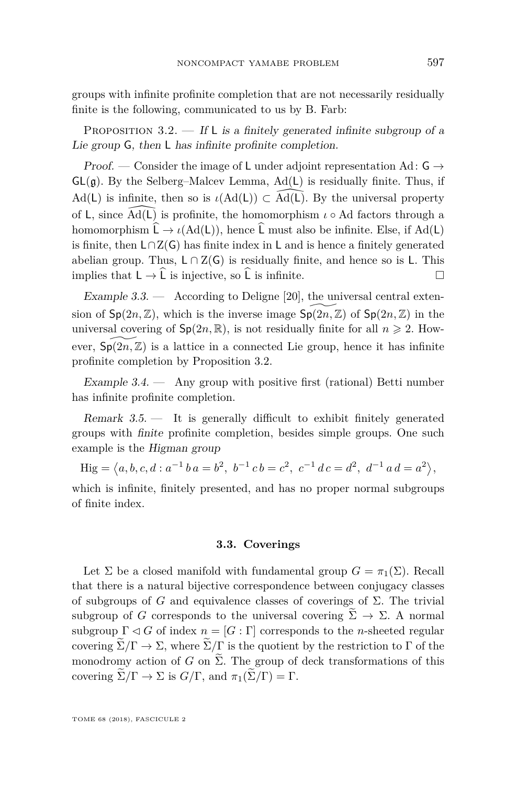groups with infinite profinite completion that are not necessarily residually finite is the following, communicated to us by B. Farb:

<span id="page-9-0"></span>PROPOSITION 3.2.  $\overline{\phantom{a}}$  If L is a finitely generated infinite subgroup of a Lie group G, then L has infinite profinite completion.

Proof. — Consider the image of L under adjoint representation Ad:  $\mathsf{G} \rightarrow$  $GL(g)$ . By the Selberg–Malcev Lemma,  $Ad(L)$  is residually finite. Thus, if Ad(L) is infinite, then so is  $\iota(\text{Ad}(L)) \subset \text{Ad}(\overline{L})$ . By the universal property of L, since  $\overline{A}d(L)$  is profinite, the homomorphism  $\iota \circ Ad$  factors through a homomorphism  $\hat{L} \to \iota(\text{Ad}(L))$ , hence  $\hat{L}$  must also be infinite. Else, if Ad(L) is finite, then L∩Z(G) has finite index in L and is hence a finitely generated abelian group. Thus,  $L \cap Z(G)$  is residually finite, and hence so is L. This implies that  $L \to \hat{L}$  is injective, so  $\hat{L}$  is infinite.

<span id="page-9-1"></span>Example  $3.3.$  — According to Deligne [\[20\]](#page-20-16), the universal central extension of  $Sp(2n, \mathbb{Z})$ , which is the inverse image  $Sp(2n, \mathbb{Z})$  of  $Sp(2n, \mathbb{Z})$  in the universal covering of  $Sp(2n, \mathbb{R})$ , is not residually finite for all  $n \geq 2$ . However,  $\mathsf{Sp}(2n,\mathbb{Z})$  is a lattice in a connected Lie group, hence it has infinite profinite completion by Proposition [3.2.](#page-9-0)

Example  $3.4.$  — Any group with positive first (rational) Betti number has infinite profinite completion.

Remark  $3.5$  — It is generally difficult to exhibit finitely generated groups with finite profinite completion, besides simple groups. One such example is the Higman group

 $\text{Hig} = \langle a, b, c, d : a^{-1} b a = b^2, b^{-1} c b = c^2, c^{-1} d c = d^2, d^{-1} a d = a^2 \rangle,$ 

which is infinite, finitely presented, and has no proper normal subgroups of finite index.

#### **3.3. Coverings**

Let  $\Sigma$  be a closed manifold with fundamental group  $G = \pi_1(\Sigma)$ . Recall that there is a natural bijective correspondence between conjugacy classes of subgroups of *G* and equivalence classes of coverings of  $\Sigma$ . The trivial subgroup of *G* corresponds to the universal covering  $\widetilde{\Sigma} \to \Sigma$ . A normal subgroup  $\Gamma \lhd G$  of index  $n = [G : \Gamma]$  corresponds to the *n*-sheeted regular covering  $\widetilde{\Sigma}/\Gamma \to \Sigma$ , where  $\widetilde{\Sigma}/\Gamma$  is the quotient by the restriction to  $\Gamma$  of the monodromy action of *G* on  $\tilde{\Sigma}$ . The group of deck transformations of this covering  $\Sigma/\Gamma \to \Sigma$  is  $G/\Gamma$ , and  $\pi_1(\Sigma/\Gamma) = \Gamma$ .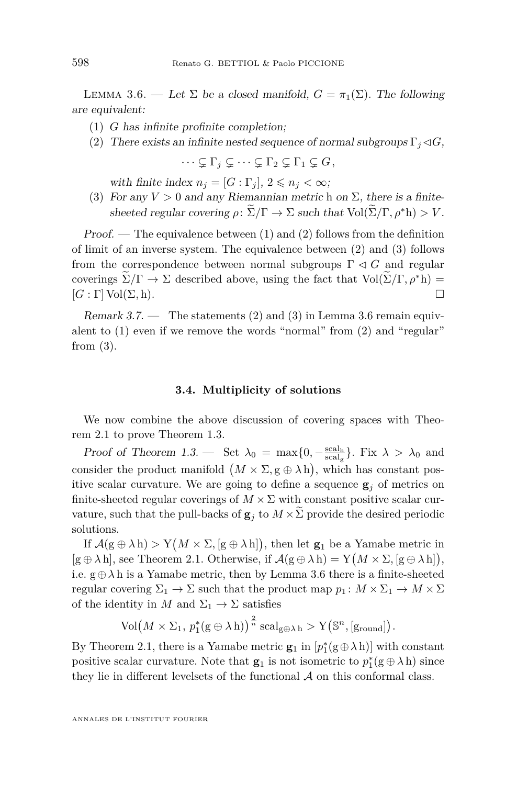<span id="page-10-3"></span>LEMMA 3.6. — Let  $\Sigma$  be a closed manifold,  $G = \pi_1(\Sigma)$ . The following are equivalent:

- <span id="page-10-0"></span>(1) *G* has infinite profinite completion;
- <span id="page-10-1"></span>(2) There exists an infinite nested sequence of normal subgroups  $\Gamma_i \lhd G$ ,

 $\cdots \subseteq \Gamma_i \subseteq \cdots \subseteq \Gamma_2 \subseteq \Gamma_1 \subseteq G,$ 

with finite index  $n_j = [G : \Gamma_j], 2 \leq n_j < \infty;$ 

<span id="page-10-2"></span>(3) For any  $V > 0$  and any Riemannian metric h on  $\Sigma$ , there is a finitesheeted regular covering  $\rho: \widetilde{\Sigma}/\Gamma \to \Sigma$  such that  $Vol(\widetilde{\Sigma}/\Gamma, \rho^*h) > V$ .

 $Proof.$  — The equivalence between [\(1\)](#page-10-0) and [\(2\)](#page-10-1) follows from the definition of limit of an inverse system. The equivalence between [\(2\)](#page-10-1) and [\(3\)](#page-10-2) follows from the correspondence between normal subgroups  $\Gamma \lhd G$  and regular coverings  $\Sigma/\Gamma \to \Sigma$  described above, using the fact that  $Vol(\Sigma/\Gamma, \rho^*h) =$ <br> $[G : \Gamma] Vol(\Sigma, h)$ .  $[G:\Gamma]$  Vol $(\Sigma, h)$ .

Remark 3.7.  $\longrightarrow$  The statements [\(2\)](#page-10-1) and [\(3\)](#page-10-2) in Lemma [3.6](#page-10-3) remain equivalent to  $(1)$  even if we remove the words "normal" from  $(2)$  and "regular" from [\(3\)](#page-10-2).

#### **3.4. Multiplicity of solutions**

We now combine the above discussion of covering spaces with Theorem [2.1](#page-6-1) to prove Theorem [1.3.](#page-3-0)

Proof of Theorem [1.3.](#page-3-0) — Set  $\lambda_0 = \max\{0, -\frac{\text{scal}_h}{\text{scal}_g}\}.$  Fix  $\lambda > \lambda_0$  and consider the product manifold  $(M \times \Sigma, g \oplus \lambda h)$ , which has constant positive scalar curvature. We are going to define a sequence  $g_j$  of metrics on finite-sheeted regular coverings of  $M \times \Sigma$  with constant positive scalar curvature, such that the pull-backs of  $\mathbf{g}_j$  to  $M \times \widetilde{\Sigma}$  provide the desired periodic solutions.

If  $\mathcal{A}(\mathbf{g} \oplus \lambda \mathbf{h}) > \mathbf{Y}(M \times \Sigma, [\mathbf{g} \oplus \lambda \mathbf{h}]),$  then let  $\mathbf{g}_1$  be a Yamabe metric in  $[g \oplus \lambda h]$ , see Theorem [2.1.](#page-6-1) Otherwise, if  $\mathcal{A}(g \oplus \lambda h) = Y(M \times \Sigma, [g \oplus \lambda h])$ , i.e.  $g \oplus \lambda h$  is a Yamabe metric, then by Lemma [3.6](#page-10-3) there is a finite-sheeted regular covering  $\Sigma_1 \to \Sigma$  such that the product map  $p_1: M \times \Sigma_1 \to M \times \Sigma$ of the identity in *M* and  $\Sigma_1 \rightarrow \Sigma$  satisfies

$$
\text{Vol}(M \times \Sigma_1, p_1^*(g \oplus \lambda h))^{\frac{2}{n}} \text{scal}_{g \oplus \lambda h} > \text{Y}\big(\mathbb{S}^n, [g_{\text{round}}]\big).
$$

By Theorem [2.1,](#page-6-1) there is a Yamabe metric  $\mathbf{g}_1$  in  $[p_1^*(g \oplus \lambda h)]$  with constant positive scalar curvature. Note that  $\mathbf{g}_1$  is not isometric to  $p_1^*(g \oplus \lambda h)$  since they lie in different level sets of the functional  $A$  on this conformal class.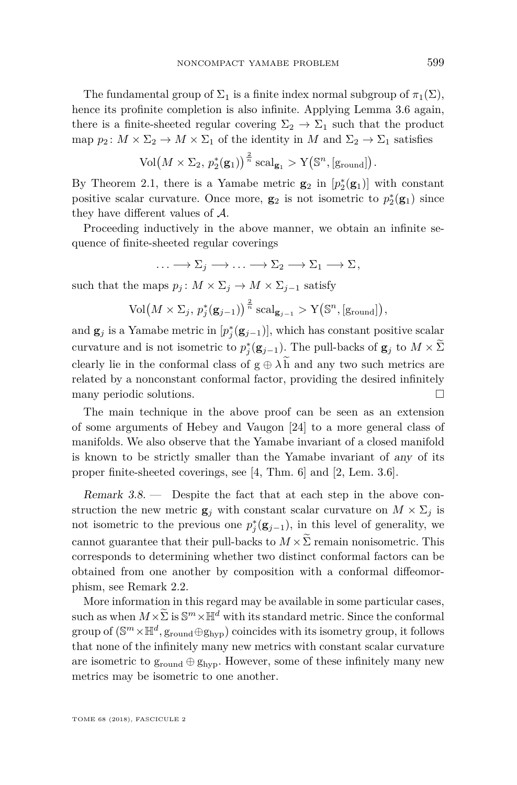The fundamental group of  $\Sigma_1$  is a finite index normal subgroup of  $\pi_1(\Sigma)$ , hence its profinite completion is also infinite. Applying Lemma [3.6](#page-10-3) again, there is a finite-sheeted regular covering  $\Sigma_2 \to \Sigma_1$  such that the product map  $p_2: M \times \Sigma_2 \to M \times \Sigma_1$  of the identity in *M* and  $\Sigma_2 \to \Sigma_1$  satisfies

$$
\text{Vol}(M \times \Sigma_2, p_2^*(\mathbf{g}_1))^{\frac{2}{n}} \text{scal}_{\mathbf{g}_1} > \text{Y}(\mathbb{S}^n, [\text{ground}]).
$$

By Theorem [2.1,](#page-6-1) there is a Yamabe metric  $\mathbf{g}_2$  in  $[p_2^*(\mathbf{g}_1)]$  with constant positive scalar curvature. Once more,  $\mathbf{g}_2$  is not isometric to  $p_2^*(\mathbf{g}_1)$  since they have different values of A.

Proceeding inductively in the above manner, we obtain an infinite sequence of finite-sheeted regular coverings

$$
\ldots \longrightarrow \Sigma_j \longrightarrow \ldots \longrightarrow \Sigma_2 \longrightarrow \Sigma_1 \longrightarrow \Sigma,
$$

such that the maps  $p_j: M \times \Sigma_j \to M \times \Sigma_{j-1}$  satisfy

$$
\text{Vol}(M \times \Sigma_j, p_j^*(\mathbf{g}_{j-1}))^{\frac{2}{n}} \text{scal}_{\mathbf{g}_{j-1}} > \text{Y}(\mathbb{S}^n, [\text{ground}]),
$$

and  $\mathbf{g}_j$  is a Yamabe metric in  $[p_j^*(\mathbf{g}_{j-1})]$ , which has constant positive scalar curvature and is not isometric to  $p_j^*(\mathbf{g}_{j-1})$ . The pull-backs of  $\mathbf{g}_j$  to  $M \times \Sigma$ clearly lie in the conformal class of  $g \oplus \lambda \widetilde{h}$  and any two such metrics are related by a nonconstant conformal factor, providing the desired infinitely many periodic solutions.

The main technique in the above proof can be seen as an extension of some arguments of Hebey and Vaugon [\[24\]](#page-20-11) to a more general class of manifolds. We also observe that the Yamabe invariant of a closed manifold is known to be strictly smaller than the Yamabe invariant of any of its proper finite-sheeted coverings, see [\[4,](#page-19-9) Thm. 6] and [\[2,](#page-19-10) Lem. 3.6].

<span id="page-11-0"></span>Remark 3.8. — Despite the fact that at each step in the above construction the new metric  $\mathbf{g}_j$  with constant scalar curvature on  $M \times \Sigma_j$  is not isometric to the previous one  $p_j^*(g_{j-1})$ , in this level of generality, we cannot guarantee that their pull-backs to  $M \times \Sigma$  remain nonisometric. This corresponds to determining whether two distinct conformal factors can be obtained from one another by composition with a conformal diffeomorphism, see Remark [2.2.](#page-6-2)

More information in this regard may be available in some particular cases, such as when  $M \times \widetilde{\Sigma}$  is  $\mathbb{S}^m \times \mathbb{H}^d$  with its standard metric. Since the conformal group of  $(\mathbb{S}^m \times \mathbb{H}^d, g_{\text{round}} \oplus g_{\text{hyp}})$  coincides with its isometry group, it follows that none of the infinitely many new metrics with constant scalar curvature are isometric to  $g_{\text{round}} \oplus g_{\text{hyp}}$ . However, some of these infinitely many new metrics may be isometric to one another.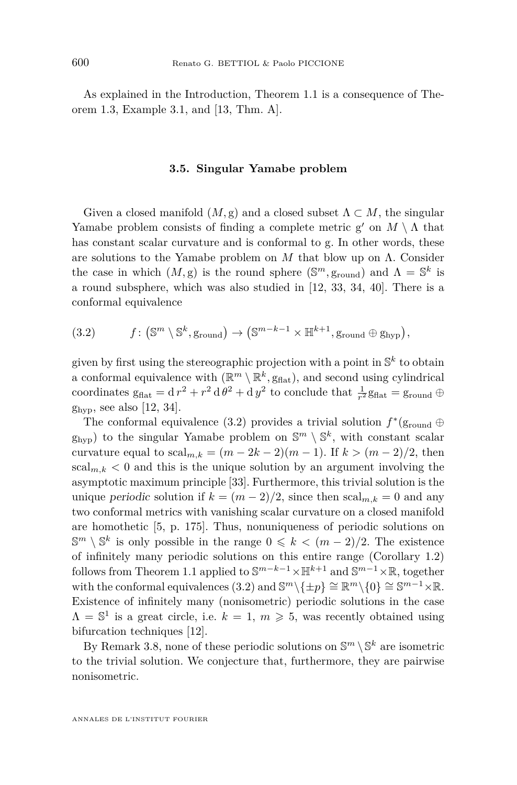As explained in the Introduction, Theorem [1.1](#page-2-0) is a consequence of Theorem [1.3,](#page-3-0) Example [3.1,](#page-8-0) and [\[13,](#page-19-3) Thm. A].

#### **3.5. Singular Yamabe problem**

<span id="page-12-0"></span>Given a closed manifold  $(M, g)$  and a closed subset  $\Lambda \subset M$ , the singular Yamabe problem consists of finding a complete metric g' on  $M \setminus \Lambda$  that has constant scalar curvature and is conformal to g. In other words, these are solutions to the Yamabe problem on *M* that blow up on Λ. Consider the case in which  $(M, g)$  is the round sphere  $(\mathbb{S}^m, g_{\text{round}})$  and  $\Lambda = \mathbb{S}^k$  is a round subsphere, which was also studied in [\[12,](#page-19-2) [33,](#page-20-17) [34,](#page-20-18) [40\]](#page-21-0). There is a conformal equivalence

<span id="page-12-1"></span>(3.2) 
$$
f: (\mathbb{S}^m \setminus \mathbb{S}^k, g_{\text{round}}) \to (\mathbb{S}^{m-k-1} \times \mathbb{H}^{k+1}, g_{\text{round}} \oplus g_{\text{hyp}}),
$$

given by first using the stereographic projection with a point in S *k* to obtain a conformal equivalence with  $(\mathbb{R}^m \setminus \mathbb{R}^k, g_{\text{flat}})$ , and second using cylindrical coordinates  $g_{\text{flat}} = d r^2 + r^2 d \theta^2 + d y^2$  to conclude that  $\frac{1}{r^2} g_{\text{flat}} = g_{\text{round}} \oplus$  $g_{\text{hvp}}$ , see also [\[12,](#page-19-2) [34\]](#page-20-18).

The conformal equivalence [\(3.2\)](#page-12-1) provides a trivial solution  $f^*(\text{ground } \oplus$  $g_{hyp}$ ) to the singular Yamabe problem on  $\mathbb{S}^m \setminus \mathbb{S}^k$ , with constant scalar curvature equal to  $\text{scal}_{m,k} = (m - 2k - 2)(m - 1)$ . If  $k > (m - 2)/2$ , then  $\operatorname{scal}_{m,k}$  < 0 and this is the unique solution by an argument involving the asymptotic maximum principle [\[33\]](#page-20-17). Furthermore, this trivial solution is the unique periodic solution if  $k = (m-2)/2$ , since then  $\text{scal}_{m,k} = 0$  and any two conformal metrics with vanishing scalar curvature on a closed manifold are homothetic [\[5,](#page-19-6) p. 175]. Thus, nonuniqueness of periodic solutions on  $\mathbb{S}^m \setminus \mathbb{S}^k$  is only possible in the range  $0 \leq k \leq (m-2)/2$ . The existence of infinitely many periodic solutions on this entire range (Corollary [1.2\)](#page-3-1) follows from Theorem [1.1](#page-2-0) applied to  $\mathbb{S}^{m-k-1}\times\mathbb{H}^{k+1}$  and  $\mathbb{S}^{m-1}\times\mathbb{R}$ , together with the conformal equivalences [\(3.2\)](#page-12-1) and  $\mathbb{S}^m \setminus \{\pm p\} \cong \mathbb{R}^m \setminus \{0\} \cong \mathbb{S}^{m-1} \times \mathbb{R}$ . Existence of infinitely many (nonisometric) periodic solutions in the case  $\Lambda = \mathbb{S}^1$  is a great circle, i.e.  $k = 1, m \geq 5$ , was recently obtained using bifurcation techniques [\[12\]](#page-19-2).

By Remark [3.8,](#page-11-0) none of these periodic solutions on  $\mathbb{S}^m \setminus \mathbb{S}^k$  are isometric to the trivial solution. We conjecture that, furthermore, they are pairwise nonisometric.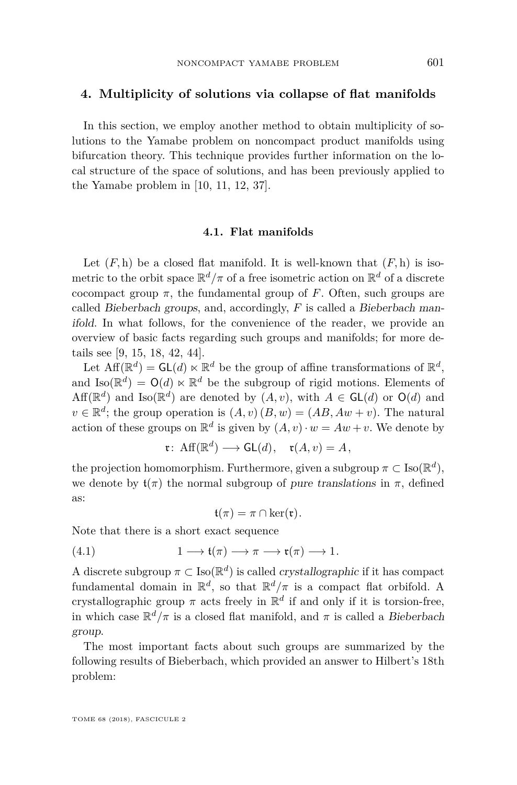#### <span id="page-13-0"></span>**4. Multiplicity of solutions via collapse of flat manifolds**

In this section, we employ another method to obtain multiplicity of solutions to the Yamabe problem on noncompact product manifolds using bifurcation theory. This technique provides further information on the local structure of the space of solutions, and has been previously applied to the Yamabe problem in [\[10,](#page-19-4) [11,](#page-19-5) [12,](#page-19-2) [37\]](#page-21-1).

#### **4.1. Flat manifolds**

Let  $(F, h)$  be a closed flat manifold. It is well-known that  $(F, h)$  is isometric to the orbit space  $\mathbb{R}^d/\pi$  of a free isometric action on  $\mathbb{R}^d$  of a discrete cocompact group  $\pi$ , the fundamental group of *F*. Often, such groups are called Bieberbach groups, and, accordingly, *F* is called a Bieberbach manifold. In what follows, for the convenience of the reader, we provide an overview of basic facts regarding such groups and manifolds; for more details see [\[9,](#page-19-11) [15,](#page-20-19) [18,](#page-20-20) [42,](#page-21-8) [44\]](#page-21-9).

Let  $\text{Aff}(\mathbb{R}^d) = \text{GL}(d) \ltimes \mathbb{R}^d$  be the group of affine transformations of  $\mathbb{R}^d$ , and  $\text{Iso}(\mathbb{R}^d) = \text{O}(d) \ltimes \mathbb{R}^d$  be the subgroup of rigid motions. Elements of  $\text{Aff}(\mathbb{R}^d)$  and  $\text{Iso}(\mathbb{R}^d)$  are denoted by  $(A, v)$ , with  $A \in \text{GL}(d)$  or  $\text{O}(d)$  and  $v \in \mathbb{R}^d$ ; the group operation is  $(A, v)(B, w) = (AB, Aw + v)$ . The natural action of these groups on  $\mathbb{R}^d$  is given by  $(A, v) \cdot w = Aw + v$ . We denote by

$$
\mathfrak{r}\colon \operatorname{Aff}(\mathbb{R}^d)\longrightarrow \operatorname{\mathsf{GL}}(d),\quad \mathfrak{r}(A,v)=A,
$$

the projection homomorphism. Furthermore, given a subgroup  $\pi \subset \text{Iso}(\mathbb{R}^d)$ , we denote by  $t(\pi)$  the normal subgroup of pure translations in  $\pi$ , defined as:

$$
\mathfrak{t}(\pi)=\pi\cap\ker(\mathfrak{r}).
$$

Note that there is a short exact sequence

(4.1) 
$$
1 \longrightarrow \mathfrak{t}(\pi) \longrightarrow \pi \longrightarrow \mathfrak{r}(\pi) \longrightarrow 1.
$$

A discrete subgroup  $\pi \subset \text{Iso}(\mathbb{R}^d)$  is called *crystallographic* if it has compact fundamental domain in  $\mathbb{R}^d$ , so that  $\mathbb{R}^d/\pi$  is a compact flat orbifold. A crystallographic group  $\pi$  acts freely in  $\mathbb{R}^d$  if and only if it is torsion-free, in which case  $\mathbb{R}^d/\pi$  is a closed flat manifold, and  $\pi$  is called a Bieberbach group.

The most important facts about such groups are summarized by the following results of Bieberbach, which provided an answer to Hilbert's 18th problem:

TOME 68 (2018), FASCICULE 2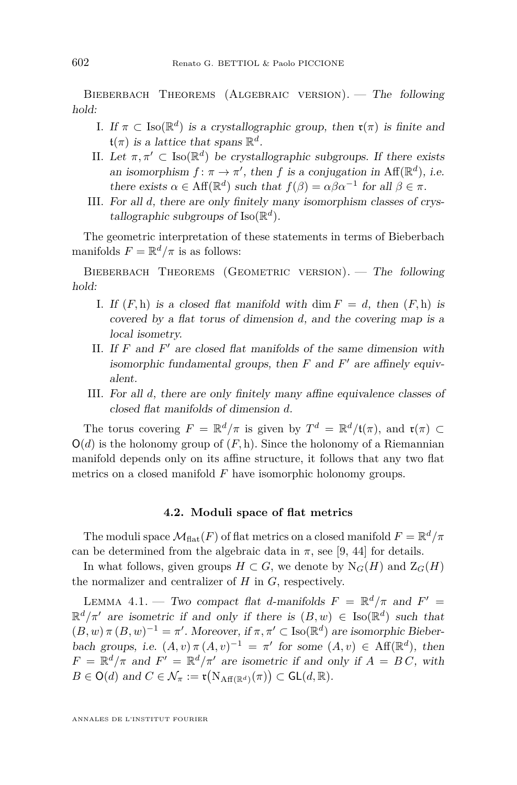BIEBERBACH THEOREMS (ALGEBRAIC VERSION). - The following hold:

- I. If  $\pi \subset \text{Iso}(\mathbb{R}^d)$  is a crystallographic group, then  $\mathfrak{r}(\pi)$  is finite and  $\mathfrak{t}(\pi)$  is a lattice that spans  $\mathbb{R}^d$ .
- II. Let  $\pi, \pi' \subset \text{Iso}(\mathbb{R}^d)$  be crystallographic subgroups. If there exists an isomorphism  $f: \pi \to \pi'$ , then *f* is a conjugation in Aff( $\mathbb{R}^d$ ), i.e. there exists  $\alpha \in \text{Aff}(\mathbb{R}^d)$  such that  $f(\beta) = \alpha \beta \alpha^{-1}$  for all  $\beta \in \pi$ .
- III. For all *d*, there are only finitely many isomorphism classes of crystallographic subgroups of  $\text{Iso}(\mathbb{R}^d)$ .

The geometric interpretation of these statements in terms of Bieberbach manifolds  $F = \mathbb{R}^d / \pi$  is as follows:

BIEBERBACH THEOREMS (GEOMETRIC VERSION). — The following hold:

- I. If  $(F, h)$  is a closed flat manifold with dim  $F = d$ , then  $(F, h)$  is covered by a flat torus of dimension *d*, and the covering map is a local isometry.
- II. If  $F$  and  $F'$  are closed flat manifolds of the same dimension with isomorphic fundamental groups, then  $F$  and  $F'$  are affinely equivalent.
- III. For all *d*, there are only finitely many affine equivalence classes of closed flat manifolds of dimension *d*.

The torus covering  $F = \mathbb{R}^d / \pi$  is given by  $T^d = \mathbb{R}^d / \mathfrak{t}(\pi)$ , and  $\mathfrak{r}(\pi) \subset$  $O(d)$  is the holonomy group of  $(F, h)$ . Since the holonomy of a Riemannian manifold depends only on its affine structure, it follows that any two flat metrics on a closed manifold *F* have isomorphic holonomy groups.

#### **4.2. Moduli space of flat metrics**

The moduli space  $\mathcal{M}_{\text{flat}}(F)$  of flat metrics on a closed manifold  $F = \mathbb{R}^d / \pi$ can be determined from the algebraic data in  $\pi$ , see [\[9,](#page-19-11) [44\]](#page-21-9) for details.

In what follows, given groups  $H \subset G$ , we denote by  $N_G(H)$  and  $Z_G(H)$ the normalizer and centralizer of *H* in *G*, respectively.

<span id="page-14-0"></span>LEMMA 4.1. — Two compact flat *d*-manifolds  $F = \mathbb{R}^d / \pi$  and  $F' =$  $\mathbb{R}^d/\pi'$  are isometric if and only if there is  $(B, w) \in \text{Iso}(\mathbb{R}^d)$  such that  $(B, w) \pi (B, w)^{-1} = \pi'$ . Moreover, if  $\pi, \pi' \subset \text{Iso}(\mathbb{R}^d)$  are isomorphic Bieberbach groups, i.e.  $(A, v) \pi (A, v)^{-1} = \pi'$  for some  $(A, v) \in Aff(\mathbb{R}^d)$ , then  $F = \mathbb{R}^d/\pi$  and  $F' = \mathbb{R}^d/\pi'$  are isometric if and only if  $A = BC$ , with  $B \in \mathsf{O}(d)$  and  $C \in \mathcal{N}_{\pi} := \mathfrak{r}(\mathrm{N}_{\mathrm{Aff}(\mathbb{R}^d)}(\pi)) \subset \mathsf{GL}(d,\mathbb{R})$ .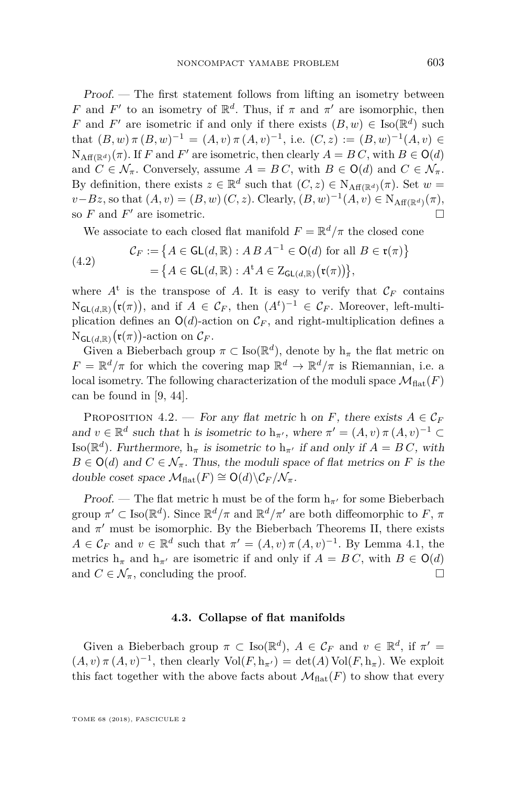Proof. — The first statement follows from lifting an isometry between *F* and *F*<sup>'</sup> to an isometry of  $\mathbb{R}^d$ . Thus, if  $\pi$  and  $\pi'$  are isomorphic, then *F* and *F*' are isometric if and only if there exists  $(B, w) \in \text{Iso}(\mathbb{R}^d)$  such that  $(B, w) \pi (B, w)^{-1} = (A, v) \pi (A, v)^{-1}$ , i.e.  $(C, z) := (B, w)^{-1}(A, v) \in$  $N_{\text{Aff}(\mathbb{R}^d)}(\pi)$ . If *F* and *F*' are isometric, then clearly  $A = B C$ , with  $B \in O(d)$ and  $C \in \mathcal{N}_{\pi}$ . Conversely, assume  $A = BC$ , with  $B \in O(d)$  and  $C \in \mathcal{N}_{\pi}$ . By definition, there exists  $z \in \mathbb{R}^d$  such that  $(C, z) \in N_{\text{Aff}(\mathbb{R}^d)}(\pi)$ . Set  $w =$ *v*−*Bz*, so that  $(A, v) = (B, w) (C, z)$ . Clearly,  $(B, w)^{-1}(A, v) \in N_{\text{Aff}(\mathbb{R}^d)}(\pi)$ , so  $F$  and  $F'$  are isometric.

We associate to each closed flat manifold  $F = \mathbb{R}^d / \pi$  the closed cone

(4.2) 
$$
\mathcal{C}_F := \left\{ A \in \mathsf{GL}(d, \mathbb{R}) : A B A^{-1} \in \mathsf{O}(d) \text{ for all } B \in \mathfrak{r}(\pi) \right\} = \left\{ A \in \mathsf{GL}(d, \mathbb{R}) : A^{\mathsf{t}} A \in \mathsf{Z}_{\mathsf{GL}(d, \mathbb{R})}(\mathfrak{r}(\pi)) \right\},
$$

where  $A^t$  is the transpose of A. It is easy to verify that  $\mathcal{C}_F$  contains  $N_{\mathsf{GL}(d,\mathbb{R})}(\mathfrak{r}(\pi))$ , and if  $A \in \mathcal{C}_F$ , then  $(A^t)^{-1} \in \mathcal{C}_F$ . Moreover, left-multiplication defines an  $O(d)$ -action on  $\mathcal{C}_F$ , and right-multiplication defines a  $N_{\mathsf{GL}(d,\mathbb{R})}(\mathfrak{r}(\pi))$ -action on  $\mathcal{C}_F$ .

Given a Bieberbach group  $\pi \subset \text{Iso}(\mathbb{R}^d)$ , denote by  $h_{\pi}$  the flat metric on  $F = \mathbb{R}^d / \pi$  for which the covering map  $\mathbb{R}^d \to \mathbb{R}^d / \pi$  is Riemannian, i.e. a local isometry. The following characterization of the moduli space  $\mathcal{M}_{\text{flat}}(F)$ can be found in [\[9,](#page-19-11) [44\]](#page-21-9).

PROPOSITION 4.2. — For any flat metric h on *F*, there exists  $A \in \mathcal{C}_F$ and  $v \in \mathbb{R}^d$  such that h is isometric to  $h_{\pi'}$ , where  $\pi' = (A, v) \pi (A, v)^{-1} \subset$ Iso( $\mathbb{R}^d$ ). Furthermore,  $h_{\pi}$  is isometric to  $h_{\pi'}$  if and only if  $A = B C$ , with  $B \in \mathsf{O}(d)$  and  $C \in \mathcal{N}_{\pi}$ . Thus, the moduli space of flat metrics on *F* is the double coset space  $\mathcal{M}_{\text{flat}}(F) \cong O(d) \backslash \mathcal{C}_F / \mathcal{N}_{\pi}$ .

Proof. — The flat metric h must be of the form  $h_{\pi'}$  for some Bieberbach group  $\pi' \subset \text{Iso}(\mathbb{R}^d)$ . Since  $\mathbb{R}^d/\pi$  and  $\mathbb{R}^d/\pi'$  are both diffeomorphic to *F*,  $\pi$ and  $\pi'$  must be isomorphic. By the Bieberbach Theorems II, there exists  $A \in \mathcal{C}_F$  and  $v \in \mathbb{R}^d$  such that  $\pi' = (A, v) \pi (A, v)^{-1}$ . By Lemma [4.1,](#page-14-0) the metrics  $h_{\pi}$  and  $h_{\pi'}$  are isometric if and only if  $A = BC$ , with  $B \in O(d)$ and  $C \in \mathcal{N}_{\pi}$ , concluding the proof.

#### **4.3. Collapse of flat manifolds**

Given a Bieberbach group  $\pi \subset \text{Iso}(\mathbb{R}^d)$ ,  $A \in \mathcal{C}_F$  and  $v \in \mathbb{R}^d$ , if  $\pi' =$  $(A, v) \pi (A, v)^{-1}$ , then clearly  $Vol(F, h_{\pi}) = det(A) Vol(F, h_{\pi})$ . We exploit this fact together with the above facts about  $\mathcal{M}_{\text{flat}}(F)$  to show that every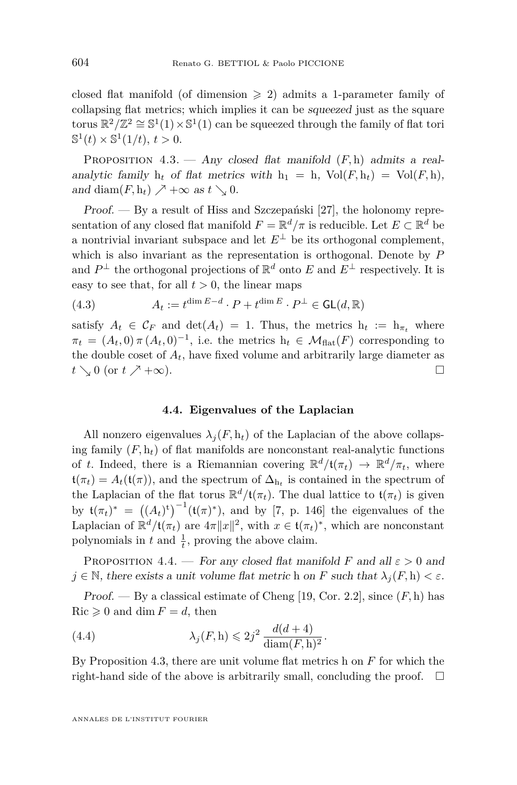closed flat manifold (of dimension  $\geq 2$ ) admits a 1-parameter family of collapsing flat metrics; which implies it can be *squeezed* just as the square torus  $\mathbb{R}^2/\mathbb{Z}^2 \cong \mathbb{S}^1(1) \times \mathbb{S}^1(1)$  can be squeezed through the family of flat tori  $\mathbb{S}^{1}(t) \times \mathbb{S}^{1}(1/t), t > 0.$ 

<span id="page-16-0"></span>Proposition 4.3. — Any closed flat manifold (*F,* h) admits a realanalytic family  $h_t$  of flat metrics with  $h_1 = h$ ,  $Vol(F, h_t) = Vol(F, h)$ , and diam( $F$ ,  $h$ <sub>t</sub>)  $\nearrow +\infty$  as  $t \searrow 0$ .

Proof. — By a result of Hiss and Szczepański [\[27\]](#page-20-10), the holonomy representation of any closed flat manifold  $F = \mathbb{R}^d / \pi$  is reducible. Let  $E \subset \mathbb{R}^d$  be a nontrivial invariant subspace and let  $E^{\perp}$  be its orthogonal complement, which is also invariant as the representation is orthogonal. Denote by *P* and  $P^{\perp}$  the orthogonal projections of  $\mathbb{R}^d$  onto *E* and  $E^{\perp}$  respectively. It is easy to see that, for all  $t > 0$ , the linear maps

(4.3) 
$$
A_t := t^{\dim E - d} \cdot P + t^{\dim E} \cdot P^{\perp} \in \mathsf{GL}(d, \mathbb{R})
$$

satisfy  $A_t \in \mathcal{C}_F$  and  $\det(A_t) = 1$ . Thus, the metrics  $h_t := h_{\pi_t}$  where  $\pi_t = (A_t, 0) \pi (A_t, 0)^{-1}$ , i.e. the metrics  $h_t \in \mathcal{M}_{\text{flat}}(F)$  corresponding to the double coset of  $A_t$ , have fixed volume and arbitrarily large diameter as  $t \searrow 0$  (or  $t \nearrow +\infty$ ).

#### **4.4. Eigenvalues of the Laplacian**

All nonzero eigenvalues  $\lambda_i(F, h_t)$  of the Laplacian of the above collapsing family  $(F, h_t)$  of flat manifolds are nonconstant real-analytic functions of *t*. Indeed, there is a Riemannian covering  $\mathbb{R}^d / \mathfrak{t}(\pi_t) \to \mathbb{R}^d / \pi_t$ , where  $\mathfrak{t}(\pi_t) = A_t(\mathfrak{t}(\pi))$ , and the spectrum of  $\Delta_{h_t}$  is contained in the spectrum of the Laplacian of the flat torus  $\mathbb{R}^d/\mathfrak{t}(\pi_t)$ . The dual lattice to  $\mathfrak{t}(\pi_t)$  is given by  $\mathfrak{t}(\pi_t)^* = ((A_t)^t)^{-1}(\mathfrak{t}(\pi)^*)$ , and by [\[7,](#page-19-12) p. 146] the eigenvalues of the Laplacian of  $\mathbb{R}^d / \mathfrak{t}(\pi_t)$  are  $4\pi ||x||^2$ , with  $x \in \mathfrak{t}(\pi_t)^*$ , which are nonconstant polynomials in  $t$  and  $\frac{1}{t}$ , proving the above claim.

<span id="page-16-2"></span>PROPOSITION 4.4. — For any closed flat manifold *F* and all  $\varepsilon > 0$  and  $j \in \mathbb{N}$ , there exists a unit volume flat metric h on *F* such that  $\lambda_j(F, h) < \varepsilon$ .

Proof. — By a classical estimate of Cheng [\[19,](#page-20-21) Cor. 2.2], since (*F,* h) has  $Ric \geq 0$  and dim  $F = d$ , then

<span id="page-16-1"></span>(4.4) 
$$
\lambda_j(F, h) \leq 2j^2 \frac{d(d+4)}{\text{diam}(F, h)^2}.
$$

By Proposition [4.3,](#page-16-0) there are unit volume flat metrics h on *F* for which the right-hand side of the above is arbitrarily small, concluding the proof.  $\Box$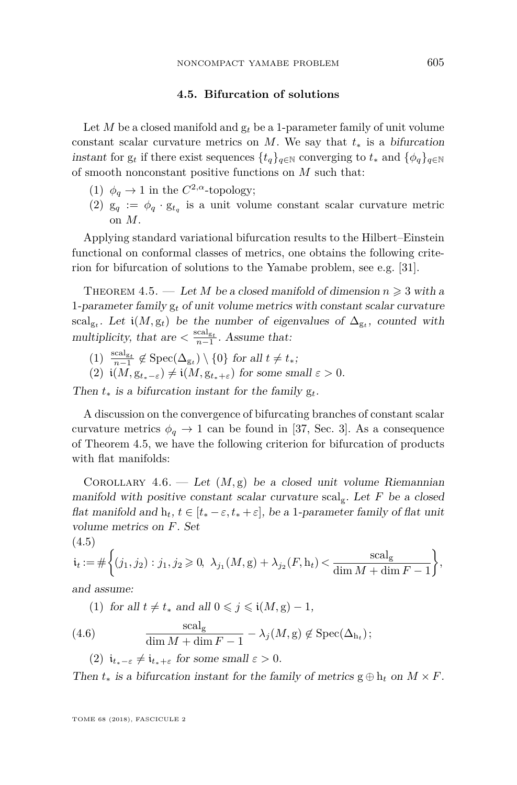#### **4.5. Bifurcation of solutions**

Let *M* be a closed manifold and  $g_t$  be a 1-parameter family of unit volume constant scalar curvature metrics on  $M$ . We say that  $t_*$  is a bifurcation instant for  $g_t$  if there exist sequences  $\{t_q\}_{q \in \mathbb{N}}$  converging to  $t_*$  and  $\{\phi_q\}_{q \in \mathbb{N}}$ of smooth nonconstant positive functions on *M* such that:

- (1)  $\phi_q \to 1$  in the  $C^{2,\alpha}$ -topology;
- (2)  $g_q := \phi_q \cdot g_{t_q}$  is a unit volume constant scalar curvature metric on *M*.

Applying standard variational bifurcation results to the Hilbert–Einstein functional on conformal classes of metrics, one obtains the following criterion for bifurcation of solutions to the Yamabe problem, see e.g. [\[31\]](#page-20-9).

<span id="page-17-0"></span>THEOREM 4.5. — Let *M* be a closed manifold of dimension  $n \geq 3$  with a 1-parameter family g*<sup>t</sup>* of unit volume metrics with constant scalar curvature  $\text{scal}_{g_t}$ . Let  $\mathfrak{i}(M,g_t)$  be the number of eigenvalues of  $\Delta_{g_t}$ , counted with multiplicity, that are  $\langle \frac{\text{scal}_{g_t}}{n-1} \rangle$ . Assume that:

(1)  $\frac{\mathrm{scal}_{\mathrm{gt}}}{n-1}$  ∉ Spec( $\Delta_{\mathrm{gt}}$ ) \ {0} for all  $t \neq t_*$ ;

 $(2)$  i $(M, g_{t_*-\varepsilon}) \neq i(M, g_{t_*+\varepsilon})$  for some small  $\varepsilon > 0$ .

Then  $t_*$  is a bifurcation instant for the family  $g_t$ .

A discussion on the convergence of bifurcating branches of constant scalar curvature metrics  $\phi_q \to 1$  can be found in [\[37,](#page-21-1) Sec. 3]. As a consequence of Theorem [4.5,](#page-17-0) we have the following criterion for bifurcation of products with flat manifolds:

<span id="page-17-1"></span>COROLLARY  $4.6.$  — Let  $(M, g)$  be a closed unit volume Riemannian manifold with positive constant scalar curvature  $\text{scal}_{\varepsilon}$ . Let *F* be a closed flat manifold and  $h_t$ ,  $t \in [t_* - \varepsilon, t_* + \varepsilon]$ , be a 1-parameter family of flat unit volume metrics on *F*. Set

<span id="page-17-3"></span>(4.5)  
\n
$$
\mathbf{i}_t := \# \left\{ (j_1, j_2) : j_1, j_2 \geq 0, \ \lambda_{j_1}(M, g) + \lambda_{j_2}(F, h_t) < \frac{\mathrm{scal}_g}{\dim M + \dim F - 1} \right\},\
$$

and assume:

<span id="page-17-2"></span>(1) for all  $t \neq t_*$  and all  $0 \leq j \leq i(M, g) - 1$ ,

(4.6) 
$$
\frac{\mathrm{scal}_{g}}{\dim M + \dim F - 1} - \lambda_j(M, g) \notin \mathrm{Spec}(\Delta_{h_t});
$$

(2)  $i_{t_*-\varepsilon} \neq i_{t_*+\varepsilon}$  for some small  $\varepsilon > 0$ .

Then  $t_*$  is a bifurcation instant for the family of metrics  $g \oplus h_t$  on  $M \times F$ .

TOME 68 (2018), FASCICULE 2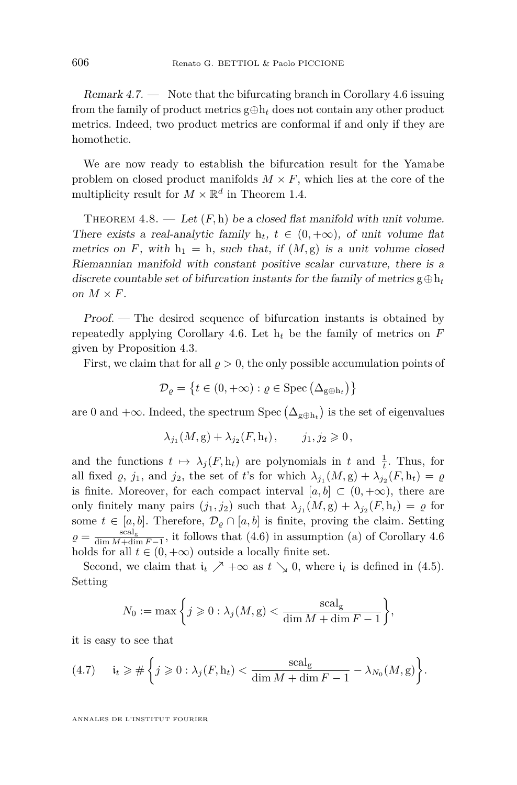Remark 4.7. — Note that the bifurcating branch in Corollary [4.6](#page-17-1) issuing from the family of product metrics  $g \oplus h_t$  does not contain any other product metrics. Indeed, two product metrics are conformal if and only if they are homothetic.

We are now ready to establish the bifurcation result for the Yamabe problem on closed product manifolds  $M \times F$ , which lies at the core of the multiplicity result for  $M \times \mathbb{R}^d$  in Theorem [1.4.](#page-4-0)

<span id="page-18-1"></span>THEOREM  $4.8.$  — Let  $(F, h)$  be a closed flat manifold with unit volume. There exists a real-analytic family  $h_t$ ,  $t \in (0, +\infty)$ , of unit volume flat metrics on *F*, with  $h_1 = h$ , such that, if  $(M, g)$  is a unit volume closed Riemannian manifold with constant positive scalar curvature, there is a discrete countable set of bifurcation instants for the family of metrics  $g \oplus h_t$ on  $M \times F$ .

Proof. — The desired sequence of bifurcation instants is obtained by repeatedly applying Corollary [4.6.](#page-17-1) Let h*<sup>t</sup>* be the family of metrics on *F* given by Proposition [4.3.](#page-16-0)

First, we claim that for all  $\rho > 0$ , the only possible accumulation points of

$$
\mathcal{D}_{\varrho} = \left\{ t \in (0, +\infty) : \varrho \in \text{Spec} \left( \Delta_{\mathbf{g} \oplus \mathbf{h}_t} \right) \right\}
$$

are 0 and  $+\infty$ . Indeed, the spectrum Spec  $(\Delta_{g \oplus h_t})$  is the set of eigenvalues

$$
\lambda_{j_1}(M, g) + \lambda_{j_2}(F, h_t), \quad j_1, j_2 \geq 0,
$$

and the functions  $t \mapsto \lambda_j(F, h_t)$  are polynomials in  $t$  and  $\frac{1}{t}$ . Thus, for all fixed  $\varrho$ ,  $j_1$ , and  $j_2$ , the set of *t*'s for which  $\lambda_{j_1}(M,g) + \lambda_{j_2}(F, h_t) = \varrho$ is finite. Moreover, for each compact interval  $[a, b] \subset (0, +\infty)$ , there are only finitely many pairs  $(j_1, j_2)$  such that  $\lambda_{j_1}(M, g) + \lambda_{j_2}(F, h_t) = \varrho$  for some  $t \in [a, b]$ . Therefore,  $\mathcal{D}_{\varrho} \cap [a, b]$  is finite, proving the claim. Setting  $\rho = \frac{\text{scal}_g}{\dim M + \dim F - 1}$ , it follows that [\(4.6\)](#page-17-2) in assumption (a) of Corollary [4.6](#page-17-1) holds for all  $t \in (0, +\infty)$  outside a locally finite set.

Second, we claim that  $i_t \nearrow +\infty$  as  $t \searrow 0$ , where  $i_t$  is defined in [\(4.5\)](#page-17-3). Setting

$$
N_0 := \max\bigg\{j \geqslant 0 : \lambda_j(M,\mathbf{g}) < \frac{\mathrm{scal}_\mathbf{g}}{\dim M + \dim F - 1}\bigg\},
$$

it is easy to see that

<span id="page-18-0"></span>(4.7) 
$$
\mathfrak{i}_t \geq \#\left\{j \geqslant 0: \lambda_j(F, \mathfrak{h}_t) < \frac{\mathrm{scal_g}}{\dim M + \dim F - 1} - \lambda_{N_0}(M, g)\right\}.
$$

ANNALES DE L'INSTITUT FOURIER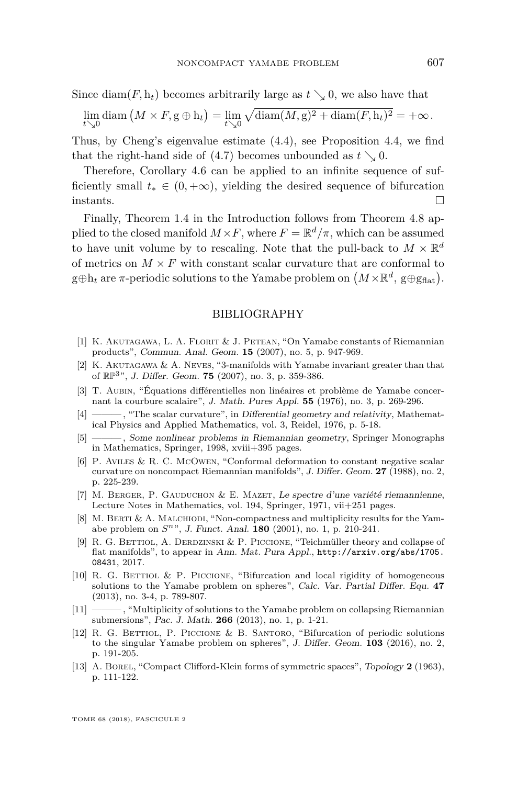Since diam( $F$ ,  $h$ <sub>t</sub>) becomes arbitrarily large as  $t \searrow 0$ , we also have that

$$
\lim_{t \searrow 0} \text{diam}\left(M \times F, \mathbf{g} \oplus \mathbf{h}_t\right) = \lim_{t \searrow 0} \sqrt{\text{diam}(M, \mathbf{g})^2 + \text{diam}(F, \mathbf{h}_t)^2} = +\infty.
$$

Thus, by Cheng's eigenvalue estimate  $(4.4)$ , see Proposition [4.4,](#page-16-2) we find that the right-hand side of [\(4.7\)](#page-18-0) becomes unbounded as  $t \searrow 0$ .

Therefore, Corollary [4.6](#page-17-1) can be applied to an infinite sequence of sufficiently small  $t_* \in (0, +\infty)$ , yielding the desired sequence of bifurcation instants.

Finally, Theorem [1.4](#page-4-0) in the Introduction follows from Theorem [4.8](#page-18-1) applied to the closed manifold  $M \times F$ , where  $F = \mathbb{R}^d / \pi$ , which can be assumed to have unit volume by to rescaling. Note that the pull-back to  $M \times \mathbb{R}^d$ of metrics on  $M \times F$  with constant scalar curvature that are conformal to  $\text{sg} \oplus \text{h}_t$  are  $\pi$ -periodic solutions to the Yamabe problem on  $(M \times \mathbb{R}^d, \text{ g} \oplus \text{g}_{\text{flat}})$ .

#### BIBLIOGRAPHY

- <span id="page-19-1"></span>[1] K. Akutagawa, L. A. Florit & J. Petean, "On Yamabe constants of Riemannian products", Commun. Anal. Geom. **15** (2007), no. 5, p. 947-969.
- <span id="page-19-10"></span>[2] K. Akutagawa & A. Neves, "3-manifolds with Yamabe invariant greater than that of RP3", J. Differ. Geom. **75** (2007), no. 3, p. 359-386.
- <span id="page-19-7"></span>[3] T. Aubin, "Équations différentielles non linéaires et problème de Yamabe concernant la courbure scalaire", J. Math. Pures Appl. **55** (1976), no. 3, p. 269-296.
- <span id="page-19-9"></span>[4] ———, "The scalar curvature", in Differential geometry and relativity, Mathematical Physics and Applied Mathematics, vol. 3, Reidel, 1976, p. 5-18.
- <span id="page-19-6"></span>[5] ——— , Some nonlinear problems in Riemannian geometry, Springer Monographs in Mathematics, Springer, 1998, xviii+395 pages.
- <span id="page-19-0"></span>[6] P. Aviles & R. C. McOwen, "Conformal deformation to constant negative scalar curvature on noncompact Riemannian manifolds", J. Differ. Geom. **27** (1988), no. 2, p. 225-239.
- <span id="page-19-12"></span>[7] M. Berger, P. Gauduchon & E. Mazet, Le spectre d'une variété riemannienne, Lecture Notes in Mathematics, vol. 194, Springer, 1971, vii+251 pages.
- <span id="page-19-8"></span>[8] M. BERTI & A. MALCHIODI, "Non-compactness and multiplicity results for the Yamabe problem on *S <sup>n</sup>*", J. Funct. Anal. **180** (2001), no. 1, p. 210-241.
- <span id="page-19-11"></span>[9] R. G. BETTIOL, A. DERDZINSKI  $&$  P. PICCIONE, "Teichmüller theory and collapse of flat manifolds", to appear in Ann. Mat. Pura Appl., [http://arxiv.org/abs/1705.](http://arxiv.org/abs/1705.08431) [08431](http://arxiv.org/abs/1705.08431), 2017.
- <span id="page-19-4"></span>[10] R. G. BETTIOL & P. PICCIONE, "Bifurcation and local rigidity of homogeneous solutions to the Yamabe problem on spheres", Calc. Var. Partial Differ. Equ. **47** (2013), no. 3-4, p. 789-807.
- <span id="page-19-5"></span>[11] ——— , "Multiplicity of solutions to the Yamabe problem on collapsing Riemannian submersions", Pac. J. Math. **266** (2013), no. 1, p. 1-21.
- <span id="page-19-2"></span>[12] R. G. Bettiol, P. Piccione & B. Santoro, "Bifurcation of periodic solutions to the singular Yamabe problem on spheres", J. Differ. Geom. **103** (2016), no. 2, p. 191-205.
- <span id="page-19-3"></span>[13] A. Borel, "Compact Clifford-Klein forms of symmetric spaces", Topology **2** (1963), p. 111-122.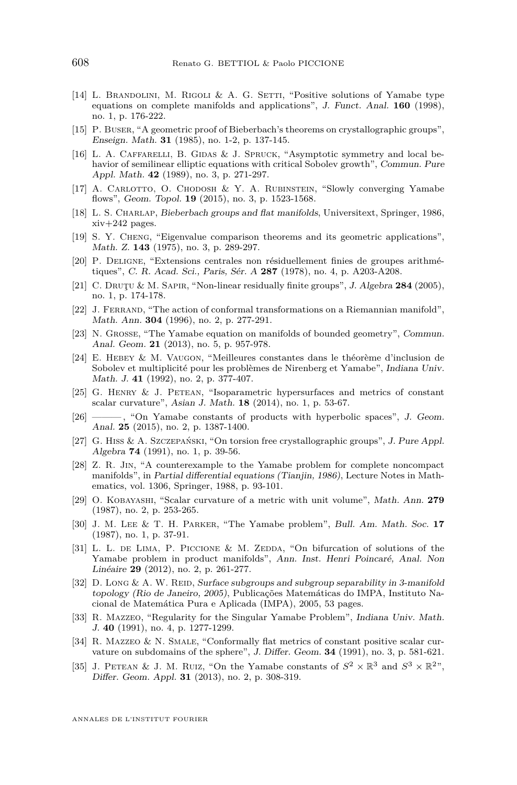- <span id="page-20-2"></span>[14] L. Brandolini, M. Rigoli & A. G. Setti, "Positive solutions of Yamabe type equations on complete manifolds and applications", J. Funct. Anal. **160** (1998), no. 1, p. 176-222.
- <span id="page-20-19"></span>[15] P. Buser, "A geometric proof of Bieberbach's theorems on crystallographic groups", Enseign. Math. **31** (1985), no. 1-2, p. 137-145.
- <span id="page-20-6"></span>[16] L. A. Caffarelli, B. Gidas & J. Spruck, "Asymptotic symmetry and local behavior of semilinear elliptic equations with critical Sobolev growth", Commun. Pure Appl. Math. **42** (1989), no. 3, p. 271-297.
- <span id="page-20-8"></span>[17] A. Carlotto, O. Chodosh & Y. A. Rubinstein, "Slowly converging Yamabe flows", Geom. Topol. **19** (2015), no. 3, p. 1523-1568.
- <span id="page-20-20"></span>[18] L. S. CHARLAP, Bieberbach groups and flat manifolds, Universitext, Springer, 1986, xiv+242 pages.
- <span id="page-20-21"></span>[19] S. Y. Cheng, "Eigenvalue comparison theorems and its geometric applications", Math. Z. **143** (1975), no. 3, p. 289-297.
- <span id="page-20-16"></span>[20] P. Deligne, "Extensions centrales non résiduellement finies de groupes arithmétiques", C. R. Acad. Sci., Paris, Sér. A **287** (1978), no. 4, p. A203-A208.
- <span id="page-20-15"></span>[21] C. Druţu & M. Sapir, "Non-linear residually finite groups", J. Algebra **284** (2005), no. 1, p. 174-178.
- <span id="page-20-13"></span>[22] J. Ferrand, "The action of conformal transformations on a Riemannian manifold", Math. Ann. **304** (1996), no. 2, p. 277-291.
- <span id="page-20-3"></span>[23] N. Grosse, "The Yamabe equation on manifolds of bounded geometry", Commun. Anal. Geom. **21** (2013), no. 5, p. 957-978.
- <span id="page-20-11"></span>[24] E. Hebey & M. Vaugon, "Meilleures constantes dans le théorème d'inclusion de Sobolev et multiplicité pour les problèmes de Nirenberg et Yamabe", Indiana Univ. Math. J. **41** (1992), no. 2, p. 377-407.
- <span id="page-20-12"></span>[25] G. Henry & J. Petean, "Isoparametric hypersurfaces and metrics of constant scalar curvature", Asian J. Math. **18** (2014), no. 1, p. 53-67.
- <span id="page-20-4"></span>[26] ——— , "On Yamabe constants of products with hyperbolic spaces", J. Geom. Anal. **25** (2015), no. 2, p. 1387-1400.
- <span id="page-20-10"></span>[27] G. HISS & A. SZCZEPAŃSKI, "On torsion free crystallographic groups", J. Pure Appl. Algebra **74** (1991), no. 1, p. 39-56.
- <span id="page-20-1"></span>[28] Z. R. Jin, "A counterexample to the Yamabe problem for complete noncompact manifolds", in Partial differential equations (Tianjin, 1986), Lecture Notes in Mathematics, vol. 1306, Springer, 1988, p. 93-101.
- <span id="page-20-7"></span>[29] O. Kobayashi, "Scalar curvature of a metric with unit volume", Math. Ann. **279** (1987), no. 2, p. 253-265.
- <span id="page-20-0"></span>[30] J. M. Lee & T. H. Parker, "The Yamabe problem", Bull. Am. Math. Soc. **17** (1987), no. 1, p. 37-91.
- <span id="page-20-9"></span>[31] L. L. DE LIMA, P. PICCIONE & M. ZEDDA, "On bifurcation of solutions of the Yamabe problem in product manifolds", Ann. Inst. Henri Poincaré, Anal. Non Linéaire **29** (2012), no. 2, p. 261-277.
- <span id="page-20-14"></span>[32] D. Long & A. W. REID, Surface subgroups and subgroup separability in 3-manifold topology (Rio de Janeiro, 2005), Publicações Matemáticas do IMPA, Instituto Nacional de Matemática Pura e Aplicada (IMPA), 2005, 53 pages.
- <span id="page-20-17"></span>[33] R. Mazzeo, "Regularity for the Singular Yamabe Problem", Indiana Univ. Math. J. **40** (1991), no. 4, p. 1277-1299.
- <span id="page-20-18"></span>[34] R. Mazzeo & N. Smale, "Conformally flat metrics of constant positive scalar curvature on subdomains of the sphere", J. Differ. Geom. **34** (1991), no. 3, p. 581-621.
- <span id="page-20-5"></span>[35] J. PETEAN & J. M. RUIZ, "On the Yamabe constants of  $S^2 \times \mathbb{R}^3$  and  $S^3 \times \mathbb{R}^2$ ", Differ. Geom. Appl. **31** (2013), no. 2, p. 308-319.